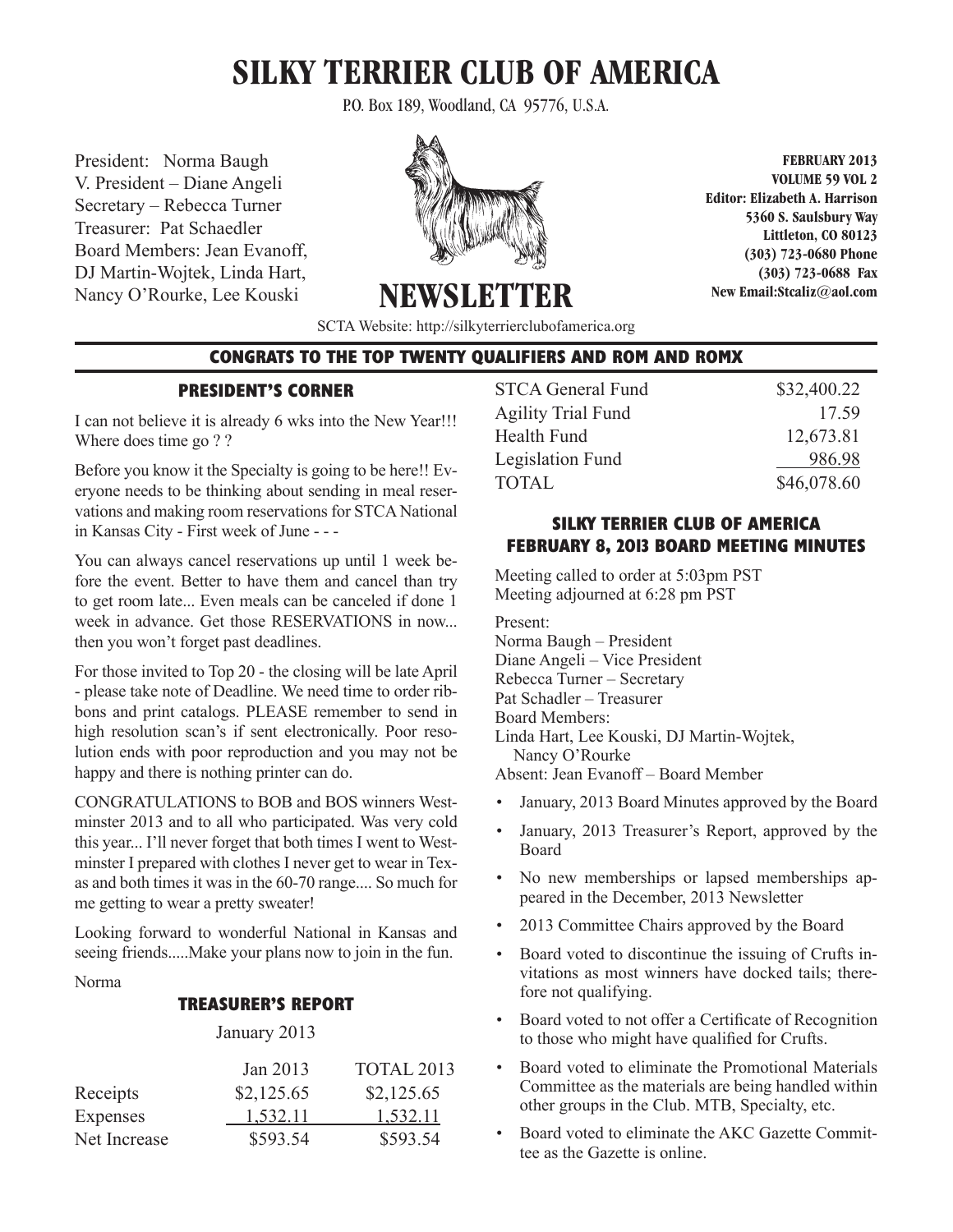# **SILKY TERRIER CLUB OF AMERICA**

P.O. Box 189, Woodland, CA 95776, U.S.A.

President: Norma Baugh V. President – Diane Angeli Secretary – Rebecca Turner Treasurer: Pat Schaedler Board Members: Jean Evanoff, DJ Martin-Wojtek, Linda Hart, Nancy O'Rourke, Lee Kouski



**FEBRUARY 2013 VOLUME 59 VOL 2 Editor: Elizabeth A. Harrison 5360 S. Saulsbury Way Littleton, CO 80123 (303) 723-0680 Phone (303) 723-0688 Fax New Email:Stcaliz@aol.com** 

SCTA Website: http://silkyterrierclubofamerica.org

NEWSLET

## **CONGRATS TO THE TOP TWENTY QUALIFIERS AND ROM AND ROMX**

## **PRESIDENT'S CORNER**

I can not believe it is already 6 wks into the New Year!!! Where does time go ? ?

Before you know it the Specialty is going to be here!! Everyone needs to be thinking about sending in meal reservations and making room reservations for STCA National in Kansas City - First week of June - - -

You can always cancel reservations up until 1 week before the event. Better to have them and cancel than try to get room late... Even meals can be canceled if done 1 week in advance. Get those RESERVATIONS in now... then you won't forget past deadlines.

For those invited to Top 20 - the closing will be late April - please take note of Deadline. We need time to order ribbons and print catalogs. PLEASE remember to send in high resolution scan's if sent electronically. Poor resolution ends with poor reproduction and you may not be happy and there is nothing printer can do.

CONGRATULATIONS to BOB and BOS winners Westminster 2013 and to all who participated. Was very cold this year... I'll never forget that both times I went to Westminster I prepared with clothes I never get to wear in Texas and both times it was in the 60-70 range.... So much for me getting to wear a pretty sweater!

Looking forward to wonderful National in Kansas and seeing friends.....Make your plans now to join in the fun.

#### Norma

# **TREASURER'S REPORT**

#### January 2013

| Jan 2013   | <b>TOTAL 2013</b> |
|------------|-------------------|
| \$2,125.65 | \$2,125.65        |
| 1,532.11   | 1,532.11          |
| \$593.54   | \$593.54          |
|            |                   |

| <b>STCA General Fund</b>  | \$32,400.22 |
|---------------------------|-------------|
| <b>Agility Trial Fund</b> | 17.59       |
| Health Fund               | 12,673.81   |
| Legislation Fund          | 986.98      |
| <b>TOTAL</b>              | \$46,078.60 |
|                           |             |

# **SILKY TERRIER CLUB OF AMERICA FEBRUARY 8, 2013 BOARD MEETING MINUTES**

Meeting called to order at 5:03pm PST Meeting adjourned at 6:28 pm PST

Present:

Norma Baugh – President Diane Angeli – Vice President

Rebecca Turner – Secretary

Pat Schadler – Treasurer

Board Members:

Linda Hart, Lee Kouski, DJ Martin-Wojtek, Nancy O'Rourke

Absent: Jean Evanoff – Board Member

- • January, 2013 Board Minutes approved by the Board
- January, 2013 Treasurer's Report, approved by the Board
- No new memberships or lapsed memberships appeared in the December, 2013 Newsletter
- 2013 Committee Chairs approved by the Board
- Board voted to discontinue the issuing of Crufts invitations as most winners have docked tails; therefore not qualifying.
- Board voted to not offer a Certificate of Recognition to those who might have qualified for Crufts.
- Board voted to eliminate the Promotional Materials Committee as the materials are being handled within other groups in the Club. MTB, Specialty, etc.
- Board voted to eliminate the AKC Gazette Committee as the Gazette is online.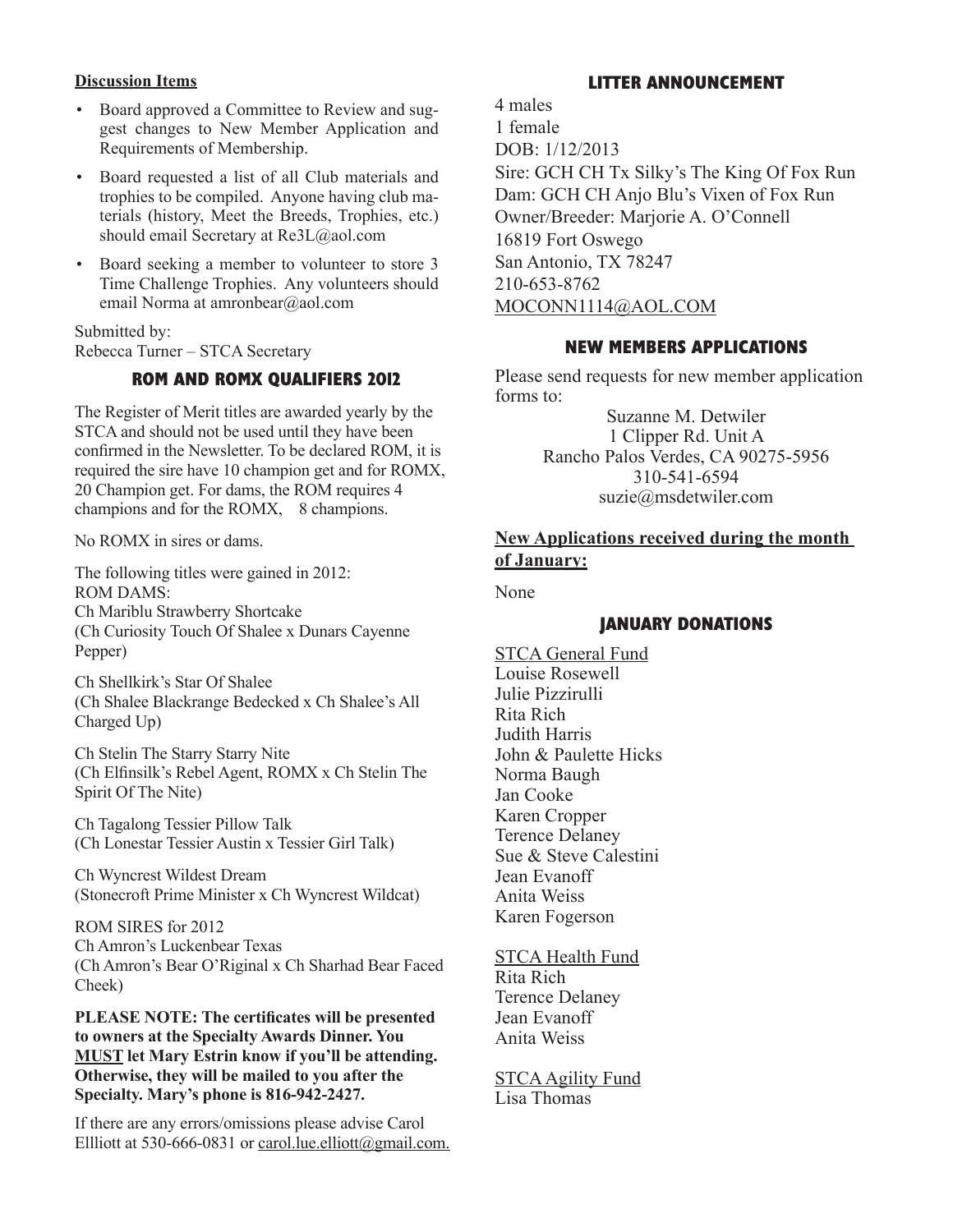# **Discussion Items**

- Board approved a Committee to Review and suggest changes to New Member Application and Requirements of Membership.
- • Board requested a list of all Club materials and trophies to be compiled. Anyone having club materials (history, Meet the Breeds, Trophies, etc.) should email Secretary at Re3L@aol.com
- Board seeking a member to volunteer to store 3 Time Challenge Trophies. Any volunteers should email Norma at amronbear@aol.com

Submitted by: Rebecca Turner – STCA Secretary

# **ROM AND ROMX QUALIFIERS 2012**

The Register of Merit titles are awarded yearly by the STCA and should not be used until they have been confirmed in the Newsletter. To be declared ROM, it is required the sire have 10 champion get and for ROMX, 20 Champion get. For dams, the ROM requires 4 champions and for the ROMX, 8 champions.

No ROMX in sires or dams.

The following titles were gained in 2012: ROM DAMS: Ch Mariblu Strawberry Shortcake (Ch Curiosity Touch Of Shalee x Dunars Cayenne Pepper)

Ch Shellkirk's Star Of Shalee (Ch Shalee Blackrange Bedecked x Ch Shalee's All Charged Up)

Ch Stelin The Starry Starry Nite (Ch Elfinsilk's Rebel Agent, ROMX x Ch Stelin The Spirit Of The Nite)

Ch Tagalong Tessier Pillow Talk (Ch Lonestar Tessier Austin x Tessier Girl Talk)

Ch Wyncrest Wildest Dream (Stonecroft Prime Minister x Ch Wyncrest Wildcat)

ROM SIRES for 2012 Ch Amron's Luckenbear Texas (Ch Amron's Bear O'Riginal x Ch Sharhad Bear Faced Cheek)

**PLEASE NOTE: The certificates will be presented to owners at the Specialty Awards Dinner. You MUST let Mary Estrin know if you'll be attending. Otherwise, they will be mailed to you after the Specialty. Mary's phone is 816-942-2427.**

If there are any errors/omissions please advise Carol Ellliott at 530-666-0831 or carol.lue.elliott@gmail.com.

# **LITTER ANNOUNCEMENT**

4 males 1 female DOB: 1/12/2013 Sire: GCH CH Tx Silky's The King Of Fox Run Dam: GCH CH Anjo Blu's Vixen of Fox Run Owner/Breeder: Marjorie A. O'Connell 16819 Fort Oswego San Antonio, TX 78247 210-653-8762 MOCONN1114@AOL.COM

# **NEW MEMBERS APPLICATIONS**

Please send requests for new member application forms to:

> Suzanne M. Detwiler 1 Clipper Rd. Unit A Rancho Palos Verdes, CA 90275-5956 310-541-6594 suzie@msdetwiler.com

# **New Applications received during the month of January:**

None

# **JANUARY DONATIONS**

STCA General Fund Louise Rosewell Julie Pizzirulli Rita Rich Judith Harris John & Paulette Hicks Norma Baugh Jan Cooke Karen Cropper Terence Delaney Sue & Steve Calestini Jean Evanoff Anita Weiss Karen Fogerson

STCA Health Fund

Rita Rich Terence Delaney Jean Evanoff Anita Weiss

STCA Agility Fund Lisa Thomas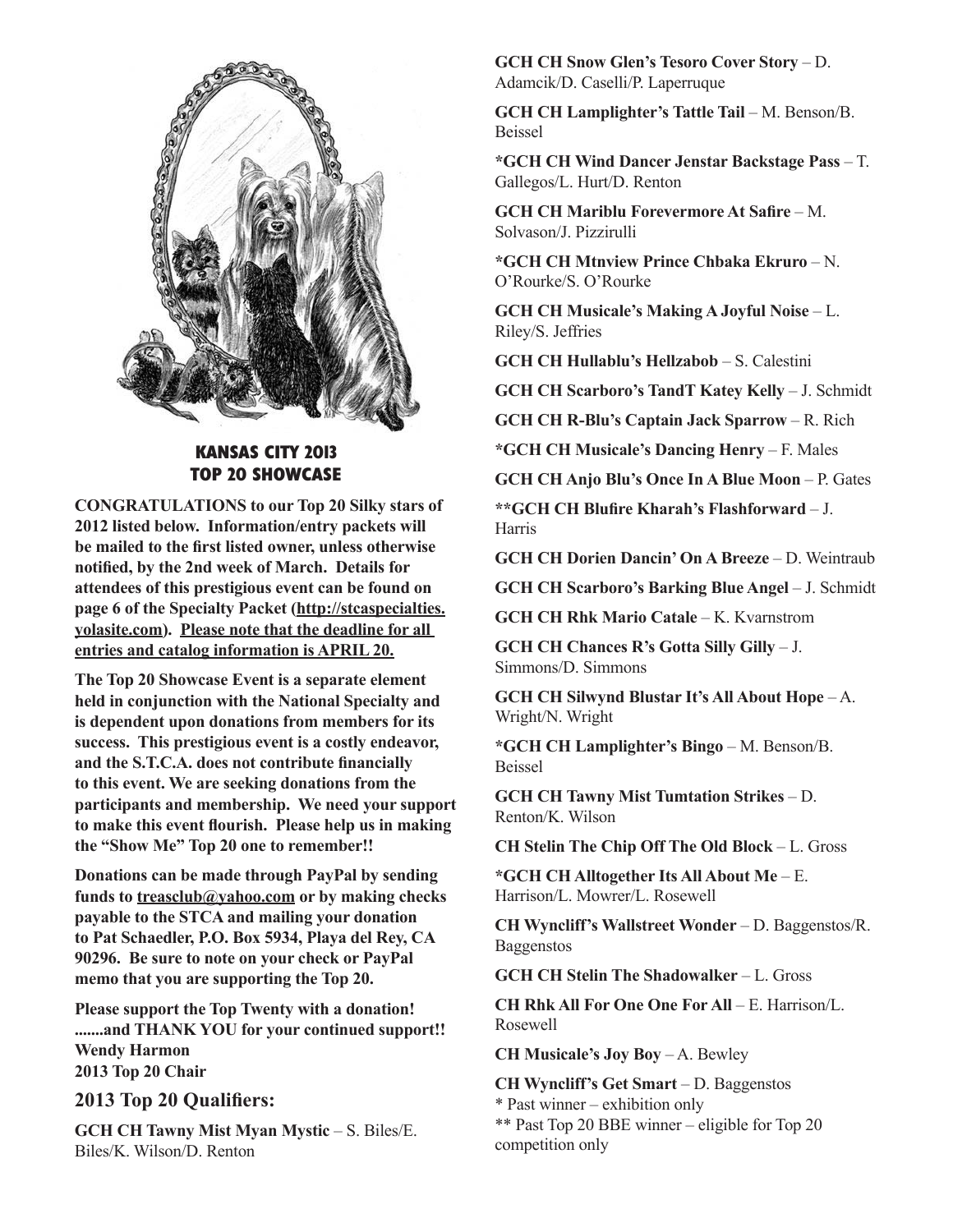

#### **KANSAS CITY 2013 TOP 20 SHOWCASE season and is looking forward to the new year. This**

**CONGRATULATIONS to our Top 20 Silky stars of 2012 listed below. Information/entry packets will** be mailed to the first listed owner, unless otherwise **notified, by the 2nd week of March. Details for** attendees of this prestigious event can be found on page 6 of the Specialty Packet (http://stcaspecialties. **yolasite.com). Please note that the deadline for all entries and catalog information is APRIL 20. finited below. findit ination**/**c** please in the presugnous even **manufacturing intermedied in the subset of the subset of the subset of the subset of the subset of the subset of the subset of the subset of the subset of the subset of the subset of the subset of the subset of the subset** 

The Top 20 Showcase Event is a separate element **held in conjunction with the National Specialty and** is dependent upon donations from members for its success. This prestigious event is a costly endeavor, and the S.T.C.A. does not contribute financially to this event. We are seeking donations from the participants and membership. We need your support to make this event flourish. Please help us in making **the "Show Me" Top 20 one to remember!! o** conjunction with the tvational specially a **IC S.I.C.A. WES NOT CONTINUE IMAILIANY** blow Me $^{\prime\prime}$  Top 20 one to reme

**Donations can be made through PayPal by sending** funds to <u>treasclub@yahoo.com</u> or by making checks **payable to the STCA and mailing your donation to Pat Schaedler, P.O. Box 5934, Playa del Rey, CA 90296. Be sure to note on your check or PayPal memo that you are supporting the Top 20.**  lions can be made

**Please support the Top Twenty with a donation! .......and THANK YOU for your continued support!! Wendy Harmon 2013 Top 20 Chair** 

# **2013 Top 20 Qualifiers:**

**GCH CH Tawny Mist Myan Mystic** – S. Biles/E. Biles/K. Wilson/D. Renton

**GCH CH Snow Glen's Tesoro Cover Story – D.** Adamcik/D. Caselli/P. Laperruque

**GCH CH Lamplighter's Tattle Tail – M. Benson/B.** Beissel

**\*GCH CH Wind Dancer Jenstar Backstage Pass - T.** Gallegos/L. Hurt/D. Renton

**GCH CH Mariblu Forevermore At Safire** – M. Solvason/J. Pizzirulli **Top Twenty Showcase and we hope** 

\*GCH CH Mtnview Prince Chbaka Ekruro - N. O'Rourke/S. O'Rourke

**GCH CH Musicale's Making A Joyful Noise – L.** Riley/S. Jeffries

**GCH CH Hullablu's Hellzabob – S. Calestini** en en nulladiu s helizadod –<br> *<u>x*</u>

**GCH CH Scarboro's TandT Katey Kelly - J. Schmidt** 

**GCH CH R-Blu's Captain Jack Sparrow – R. Rich** 

\***GCH CH Musicale's Dancing Henry** – F. Males **acception interested with must compare the state of the compare of the compare of the compare of the compare of the compare of the compare of the compare of the compare of the compare of the compare of the compare of the** 

**GCH CH Anjo Blu's Once In A Blue Moon - P. Gates** 

\*\*GCH CH Blufire Kharah's Flashforward – J. Harris

**GCH CH Dorien Dancin' On A Breeze - D. Weintraub** 

**GCH CH Scarboro's Barking Blue Angel** – J. Schmidt LH CH Scarboro's Barking Blue **A** 

**GCH CH Rhk Mario Catale - K. Kvarnstrom Schaedler, P.O. Box 5934, Playa del Rey,** 

**GCH CH Chances R's Gotta Silly Gilly – J.** Simmons/D. Simmons

**GCH CH Silwynd Blustar It's All About Hope** – A. Wright/N. Wright

**\*GCH CH Lamplighter's Bingo** – M. Benson/B. **Beissel incredible Specialty!!** 

**GCH CH Tawny Mist Tumtation Strikes** – D. **Renton/K.** Wilson

**CH Stelin The Chip Off The Old Block - L. Gross** 

**\*GCH CH Alltogether Its All About Me** – E. Harrison/L. Mowrer/L. Rosewell

**CH Wyncliff's Wallstreet Wonder** – D. Baggenstos/R. Baggenstos

**GCH CH Stelin The Shadowalker** – L. Gross

**CH Rhk All For One One For All** – E. Harrison/L. Rosewell

**CH Musicale's Joy Boy** – A. Bewley

**CH Wyncliff's Get Smart** – D. Baggenstos \* Past winner – exhibition only \*\* Past Top 20 BBE winner – eligible for Top 20 competition only